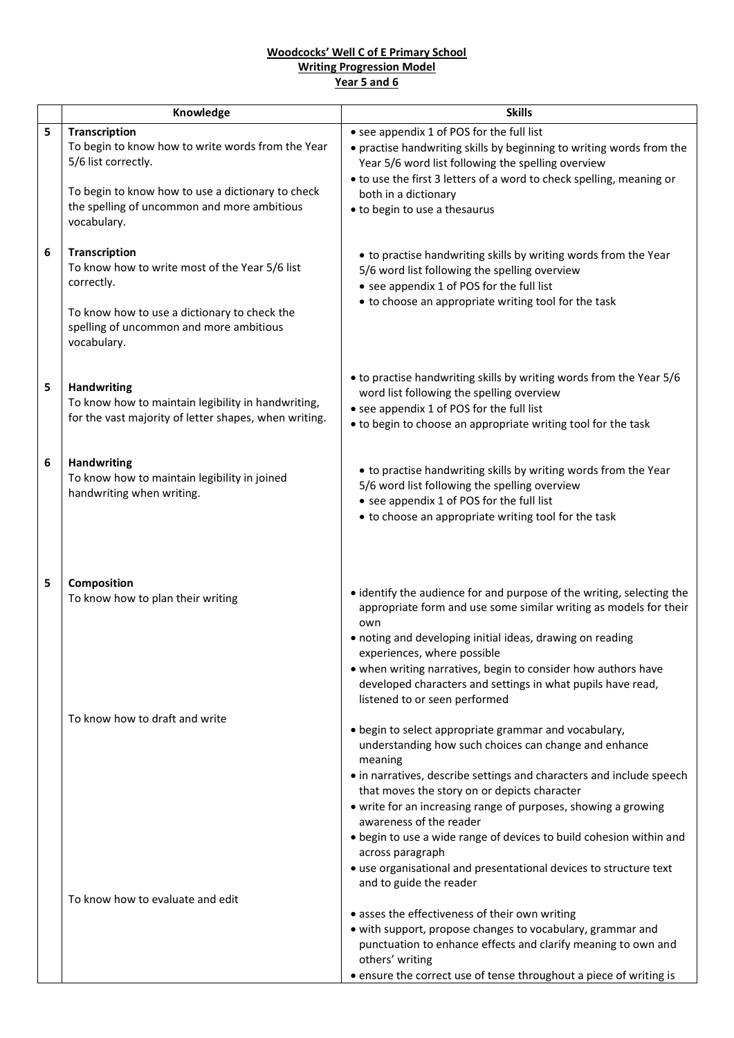## **Woodcocks' Well C of E Primary School Writing Progression Model Year 5 and 6**

|   | Knowledge                                                                                                       | <b>Skills</b>                                                                                                                                                                                                                                                                                                                                                                 |
|---|-----------------------------------------------------------------------------------------------------------------|-------------------------------------------------------------------------------------------------------------------------------------------------------------------------------------------------------------------------------------------------------------------------------------------------------------------------------------------------------------------------------|
| 5 | <b>Transcription</b>                                                                                            | • see appendix 1 of POS for the full list                                                                                                                                                                                                                                                                                                                                     |
|   | To begin to know how to write words from the Year<br>5/6 list correctly.                                        | • practise handwriting skills by beginning to writing words from the<br>Year 5/6 word list following the spelling overview                                                                                                                                                                                                                                                    |
|   | To begin to know how to use a dictionary to check<br>the spelling of uncommon and more ambitious<br>vocabulary. | • to use the first 3 letters of a word to check spelling, meaning or<br>both in a dictionary                                                                                                                                                                                                                                                                                  |
|   |                                                                                                                 | • to begin to use a thesaurus                                                                                                                                                                                                                                                                                                                                                 |
| 6 | <b>Transcription</b>                                                                                            |                                                                                                                                                                                                                                                                                                                                                                               |
|   | To know how to write most of the Year 5/6 list                                                                  | • to practise handwriting skills by writing words from the Year<br>5/6 word list following the spelling overview                                                                                                                                                                                                                                                              |
|   | correctly.                                                                                                      | • see appendix 1 of POS for the full list                                                                                                                                                                                                                                                                                                                                     |
|   | To know how to use a dictionary to check the<br>spelling of uncommon and more ambitious<br>vocabulary.          | • to choose an appropriate writing tool for the task                                                                                                                                                                                                                                                                                                                          |
|   |                                                                                                                 | • to practise handwriting skills by writing words from the Year 5/6                                                                                                                                                                                                                                                                                                           |
| 5 | <b>Handwriting</b>                                                                                              | word list following the spelling overview                                                                                                                                                                                                                                                                                                                                     |
|   | To know how to maintain legibility in handwriting,<br>for the vast majority of letter shapes, when writing.     | • see appendix 1 of POS for the full list                                                                                                                                                                                                                                                                                                                                     |
|   |                                                                                                                 | • to begin to choose an appropriate writing tool for the task                                                                                                                                                                                                                                                                                                                 |
| 6 | Handwriting                                                                                                     |                                                                                                                                                                                                                                                                                                                                                                               |
|   | To know how to maintain legibility in joined                                                                    | • to practise handwriting skills by writing words from the Year<br>5/6 word list following the spelling overview                                                                                                                                                                                                                                                              |
|   | handwriting when writing.                                                                                       | • see appendix 1 of POS for the full list                                                                                                                                                                                                                                                                                                                                     |
|   |                                                                                                                 | • to choose an appropriate writing tool for the task                                                                                                                                                                                                                                                                                                                          |
| 5 | Composition<br>To know how to plan their writing                                                                | • identify the audience for and purpose of the writing, selecting the<br>appropriate form and use some similar writing as models for their<br>own<br>· noting and developing initial ideas, drawing on reading<br>experiences, where possible<br>• when writing narratives, begin to consider how authors have<br>developed characters and settings in what pupils have read, |
|   |                                                                                                                 | listened to or seen performed                                                                                                                                                                                                                                                                                                                                                 |
|   | To know how to draft and write                                                                                  |                                                                                                                                                                                                                                                                                                                                                                               |
|   |                                                                                                                 | • begin to select appropriate grammar and vocabulary,<br>understanding how such choices can change and enhance<br>meaning                                                                                                                                                                                                                                                     |
|   |                                                                                                                 | • in narratives, describe settings and characters and include speech                                                                                                                                                                                                                                                                                                          |
|   |                                                                                                                 | that moves the story on or depicts character<br>• write for an increasing range of purposes, showing a growing                                                                                                                                                                                                                                                                |
|   |                                                                                                                 | awareness of the reader                                                                                                                                                                                                                                                                                                                                                       |
|   |                                                                                                                 | . begin to use a wide range of devices to build cohesion within and<br>across paragraph                                                                                                                                                                                                                                                                                       |
|   |                                                                                                                 | • use organisational and presentational devices to structure text<br>and to guide the reader                                                                                                                                                                                                                                                                                  |
|   | To know how to evaluate and edit                                                                                |                                                                                                                                                                                                                                                                                                                                                                               |
|   |                                                                                                                 | • asses the effectiveness of their own writing                                                                                                                                                                                                                                                                                                                                |
|   |                                                                                                                 | • with support, propose changes to vocabulary, grammar and<br>punctuation to enhance effects and clarify meaning to own and<br>others' writing                                                                                                                                                                                                                                |
|   |                                                                                                                 | • ensure the correct use of tense throughout a piece of writing is                                                                                                                                                                                                                                                                                                            |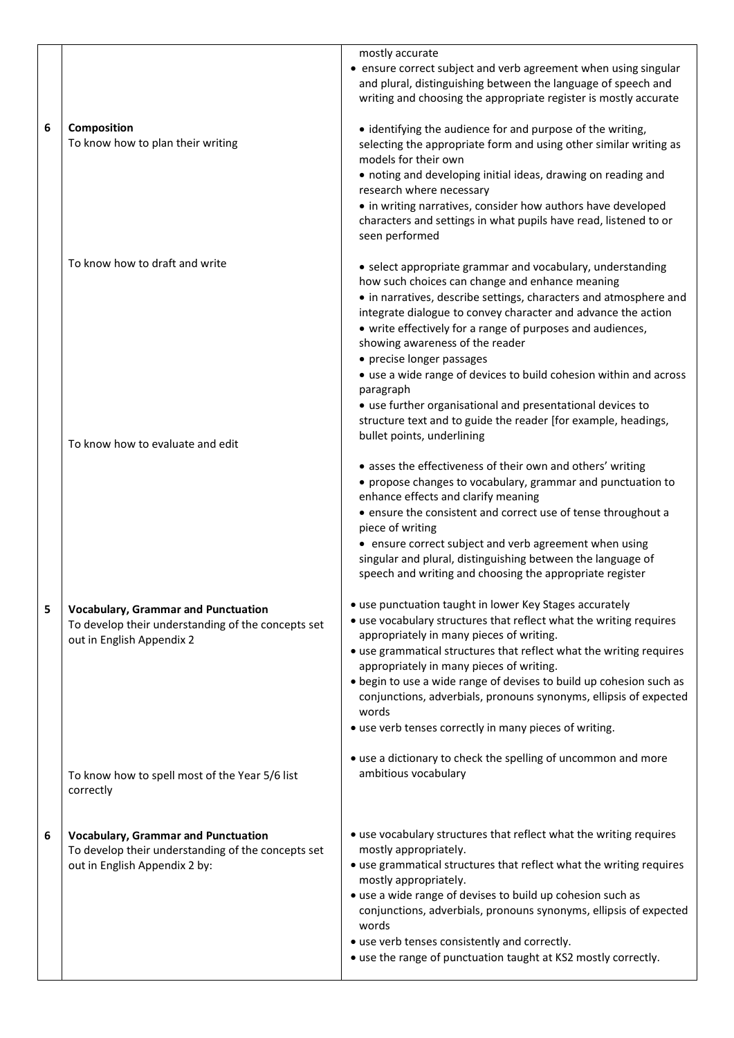|   |                                                                                                                                   | mostly accurate                                                                                                                                                                                      |
|---|-----------------------------------------------------------------------------------------------------------------------------------|------------------------------------------------------------------------------------------------------------------------------------------------------------------------------------------------------|
|   |                                                                                                                                   | • ensure correct subject and verb agreement when using singular<br>and plural, distinguishing between the language of speech and<br>writing and choosing the appropriate register is mostly accurate |
| 6 | Composition<br>To know how to plan their writing                                                                                  | • identifying the audience for and purpose of the writing,<br>selecting the appropriate form and using other similar writing as<br>models for their own                                              |
|   |                                                                                                                                   | • noting and developing initial ideas, drawing on reading and                                                                                                                                        |
|   |                                                                                                                                   | research where necessary<br>• in writing narratives, consider how authors have developed<br>characters and settings in what pupils have read, listened to or<br>seen performed                       |
|   | To know how to draft and write                                                                                                    | • select appropriate grammar and vocabulary, understanding<br>how such choices can change and enhance meaning<br>• in narratives, describe settings, characters and atmosphere and                   |
|   |                                                                                                                                   | integrate dialogue to convey character and advance the action<br>• write effectively for a range of purposes and audiences,<br>showing awareness of the reader                                       |
|   |                                                                                                                                   | • precise longer passages<br>• use a wide range of devices to build cohesion within and across                                                                                                       |
|   |                                                                                                                                   | paragraph<br>• use further organisational and presentational devices to                                                                                                                              |
|   | To know how to evaluate and edit                                                                                                  | structure text and to guide the reader [for example, headings,<br>bullet points, underlining                                                                                                         |
|   |                                                                                                                                   | • asses the effectiveness of their own and others' writing<br>• propose changes to vocabulary, grammar and punctuation to<br>enhance effects and clarify meaning                                     |
|   |                                                                                                                                   | • ensure the consistent and correct use of tense throughout a<br>piece of writing                                                                                                                    |
|   |                                                                                                                                   | • ensure correct subject and verb agreement when using<br>singular and plural, distinguishing between the language of<br>speech and writing and choosing the appropriate register                    |
| 5 | <b>Vocabulary, Grammar and Punctuation</b><br>To develop their understanding of the concepts set<br>out in English Appendix 2     | • use punctuation taught in lower Key Stages accurately<br>• use vocabulary structures that reflect what the writing requires<br>appropriately in many pieces of writing.                            |
|   |                                                                                                                                   | • use grammatical structures that reflect what the writing requires<br>appropriately in many pieces of writing.                                                                                      |
|   |                                                                                                                                   | • begin to use a wide range of devises to build up cohesion such as<br>conjunctions, adverbials, pronouns synonyms, ellipsis of expected<br>words                                                    |
|   |                                                                                                                                   | • use verb tenses correctly in many pieces of writing.                                                                                                                                               |
|   | To know how to spell most of the Year 5/6 list<br>correctly                                                                       | • use a dictionary to check the spelling of uncommon and more<br>ambitious vocabulary                                                                                                                |
|   |                                                                                                                                   |                                                                                                                                                                                                      |
| 6 | <b>Vocabulary, Grammar and Punctuation</b><br>To develop their understanding of the concepts set<br>out in English Appendix 2 by: | • use vocabulary structures that reflect what the writing requires<br>mostly appropriately.<br>• use grammatical structures that reflect what the writing requires                                   |
|   |                                                                                                                                   | mostly appropriately.<br>• use a wide range of devises to build up cohesion such as                                                                                                                  |
|   |                                                                                                                                   | conjunctions, adverbials, pronouns synonyms, ellipsis of expected<br>words<br>• use verb tenses consistently and correctly.                                                                          |
|   |                                                                                                                                   | • use the range of punctuation taught at KS2 mostly correctly.                                                                                                                                       |